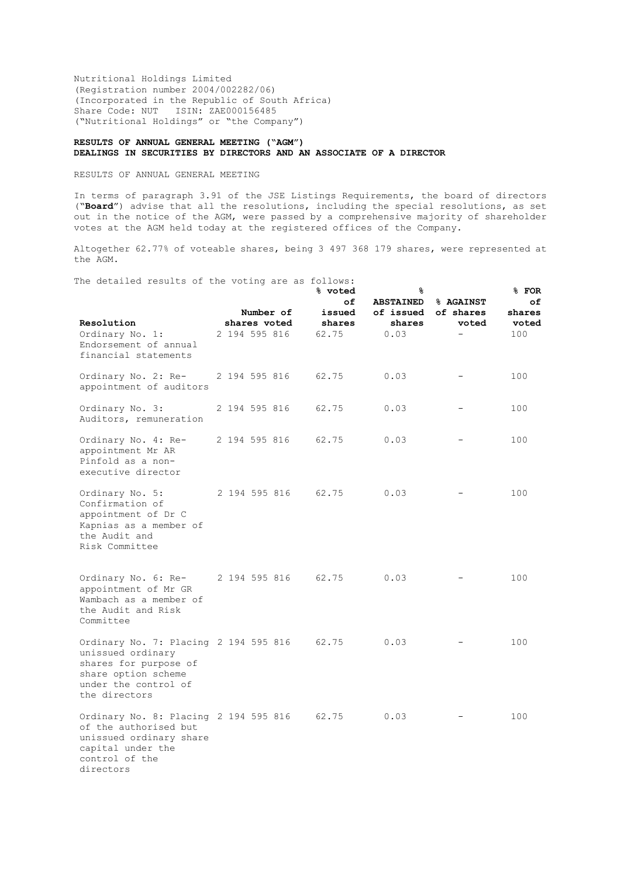Nutritional Holdings Limited (Registration number 2004/002282/06) (Incorporated in the Republic of South Africa) Share Code: NUT ISIN: ZAE000156485 ("Nutritional Holdings" or "the Company")

## **RESULTS OF ANNUAL GENERAL MEETING ("AGM") DEALINGS IN SECURITIES BY DIRECTORS AND AN ASSOCIATE OF A DIRECTOR**

RESULTS OF ANNUAL GENERAL MEETING

In terms of paragraph 3.91 of the JSE Listings Requirements, the board of directors ("**Board**") advise that all the resolutions, including the special resolutions, as set out in the notice of the AGM, were passed by a comprehensive majority of shareholder votes at the AGM held today at the registered offices of the Company.

Altogether 62.77% of voteable shares, being 3 497 368 179 shares, were represented at the AGM.

The detailed results of the voting are as follows:

| nd decurred repurso or the vocking are as rorrows.                                                                                                  |               | Number of     | % voted<br>оf<br>issued | 응<br><b>ABSTAINED</b><br>of issued | % AGAINST<br>of shares | % FOR<br>оf<br>shares |
|-----------------------------------------------------------------------------------------------------------------------------------------------------|---------------|---------------|-------------------------|------------------------------------|------------------------|-----------------------|
| Resolution<br>Ordinary No. 1:<br>Endorsement of annual<br>financial statements                                                                      | 2 194 595 816 | shares voted  | shares<br>62.75         | shares<br>0.03                     | voted                  | voted<br>100          |
| Ordinary No. 2: Re-<br>appointment of auditors                                                                                                      | 2 194 595 816 |               | 62.75                   | 0.03                               |                        | 100                   |
| Ordinary No. 3:<br>Auditors, remuneration                                                                                                           | 2 194 595 816 |               | 62.75                   | 0.03                               |                        | 100                   |
| Ordinary No. 4: Re-<br>appointment Mr AR<br>Pinfold as a non-<br>executive director                                                                 | 2 194 595 816 |               | 62.75                   | 0.03                               |                        | 100                   |
| Ordinary No. 5:<br>Confirmation of<br>appointment of Dr C<br>Kapnias as a member of<br>the Audit and<br>Risk Committee                              |               | 2 194 595 816 | 62.75                   | 0.03                               |                        | 100                   |
| Ordinary No. 6: Re-<br>appointment of Mr GR<br>Wambach as a member of<br>the Audit and Risk<br>Committee                                            | 2 194 595 816 |               | 62.75                   | 0.03                               |                        | 100                   |
| Ordinary No. 7: Placing 2 194 595 816<br>unissued ordinary<br>shares for purpose of<br>share option scheme<br>under the control of<br>the directors |               |               | 62.75                   | 0.03                               |                        | 100                   |
| Ordinary No. 8: Placing 2 194 595 816<br>of the authorised but<br>unissued ordinary share<br>capital under the<br>control of the<br>directors       |               |               | 62.75                   | 0.03                               |                        | 100                   |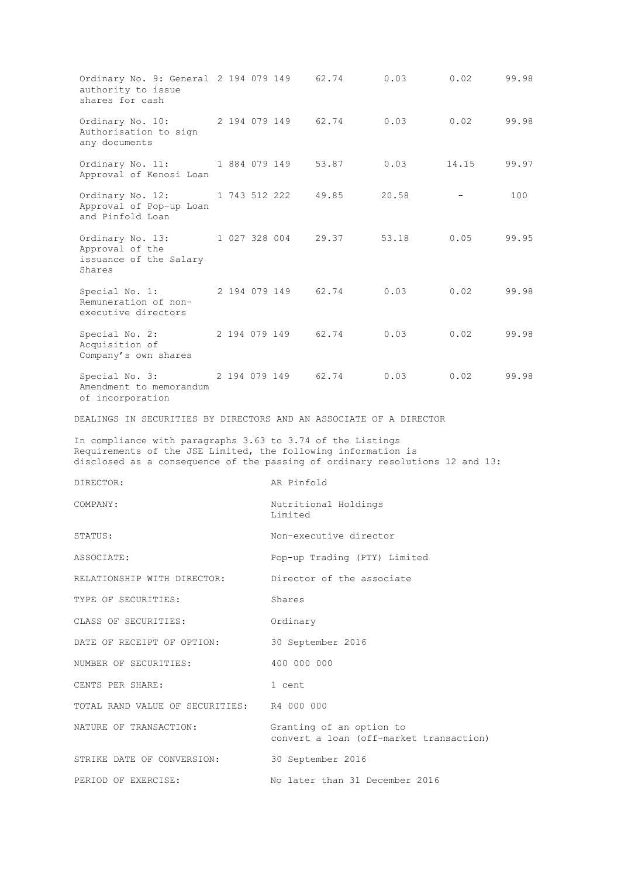Ordinary No. 9: General 2 194 079 149 62.74 0.03 0.02 99.98 authority to issue shares for cash Ordinary No. 10: Authorisation to sign any documents 2 194 079 149 62.74 0.03 0.02 99.98 Ordinary No. 11: Approval of Kenosi Loan 1 884 079 149 53.87 0.03 14.15 99.97 Ordinary No. 12: Approval of Pop-up Loan and Pinfold Loan 1 743 512 222 49.85 20.58 - 100 Ordinary No. 13: Approval of the issuance of the Salary Shares 1 027 328 004 29.37 53.18 0.05 99.95 Special No. 1: Remuneration of nonexecutive directors 2 194 079 149 62.74 0.03 0.02 99.98 Special No. 2: Acquisition of Company's own shares 2 194 079 149 62.74 0.03 0.02 99.98 Special No. 3: Amendment to memorandum of incorporation 2 194 079 149 62.74 0.03 0.02 99.98 DEALINGS IN SECURITIES BY DIRECTORS AND AN ASSOCIATE OF A DIRECTOR In compliance with paragraphs 3.63 to 3.74 of the Listings Requirements of the JSE Limited, the following information is disclosed as a consequence of the passing of ordinary resolutions 12 and 13: DIRECTOR: AR Pinfold COMPANY:  $Nutriational$  Holdings Limited STATUS: STATUS: ASSOCIATE: Pop-up Trading (PTY) Limited RELATIONSHIP WITH DIRECTOR: Director of the associate TYPE OF SECURITIES: Shares CLASS OF SECURITIES: Ordinary DATE OF RECEIPT OF OPTION: 30 September 2016 NUMBER OF SECURITIES: 400 000 000 CENTS PER SHARE: 1 cent TOTAL RAND VALUE OF SECURITIES: R4 000 000 NATURE OF TRANSACTION: Granting of an option to convert a loan (off-market transaction) STRIKE DATE OF CONVERSION: 30 September 2016 PERIOD OF EXERCISE: No later than 31 December 2016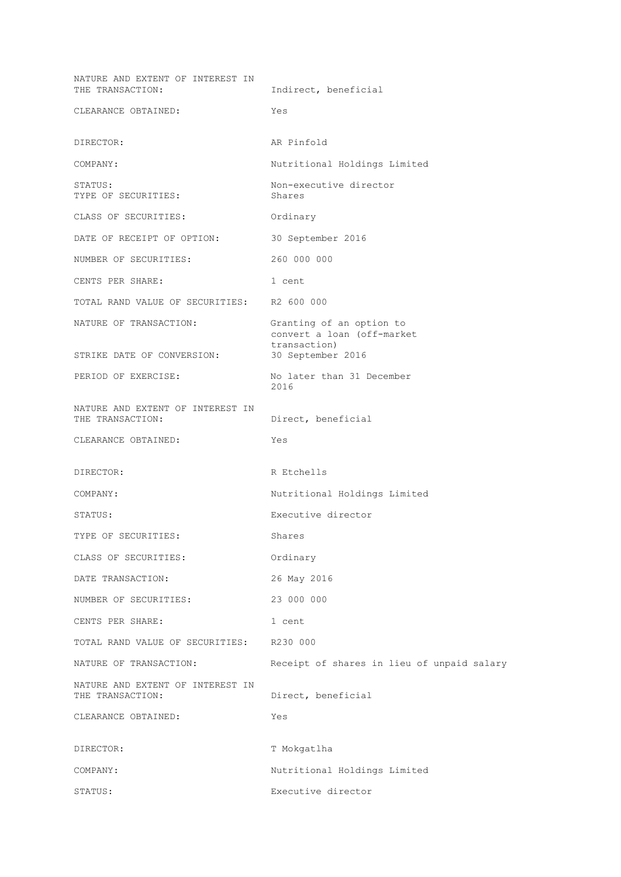NATURE AND EXTENT OF INTEREST IN<br>THE TRANSACTION: Indirect, beneficial CLEARANCE OBTAINED: Yes DIRECTOR: AR Pinfold COMPANY: Nutritional Holdings Limited STATUS:  $\blacksquare$ TYPE OF SECURITIES: Shares CLASS OF SECURITIES: Ordinary DATE OF RECEIPT OF OPTION: 30 September 2016 NUMBER OF SECURITIES: 260 000 000 CENTS PER SHARE: 1 cent TOTAL RAND VALUE OF SECURITIES: R2 600 000 NATURE OF TRANSACTION: Granting of an option to convert a loan (off-market transaction)<br>30 September 2016 STRIKE DATE OF CONVERSION: PERIOD OF EXERCISE: No later than 31 December<br>2016 2016 NATURE AND EXTENT OF INTEREST IN THE TRANSACTION: Direct, beneficial CLEARANCE OBTAINED: Yes DIRECTOR: R Etchells COMPANY: Nutritional Holdings Limited STATUS: Executive director TYPE OF SECURITIES: Shares CLASS OF SECURITIES: Ordinary DATE TRANSACTION: 26 May 2016 NUMBER OF SECURITIES: 23 000 000 CENTS PER SHARE: 1 cent TOTAL RAND VALUE OF SECURITIES: R230 000 NATURE OF TRANSACTION: Receipt of shares in lieu of unpaid salary NATURE AND EXTENT OF INTEREST IN THE TRANSACTION: Direct, beneficial CLEARANCE OBTAINED: Yes DIRECTOR: T Mokgatlha COMPANY: Nutritional Holdings Limited STATUS: Executive director